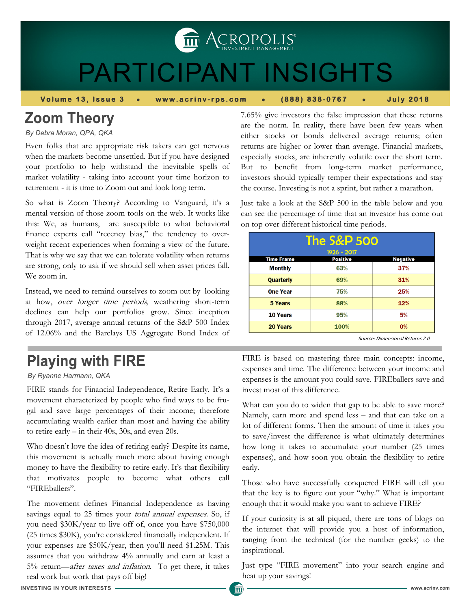THE ACROPOLIS<sup>®</sup>

# PARTICIPANT INSIGHTS

**Volume 13, Issue 3 • www.acrinv-rps.com • (888) 838-0767 • July 2018** 

# **Zoom Theory**

*By Debra Moran, QPA, QKA*

Even folks that are appropriate risk takers can get nervous when the markets become unsettled. But if you have designed your portfolio to help withstand the inevitable spells of market volatility - taking into account your time horizon to retirement - it is time to Zoom out and look long term.

So what is Zoom Theory? According to Vanguard, it's a mental version of those zoom tools on the web. It works like this: We, as humans, are susceptible to what behavioral finance experts call "recency bias," the tendency to overweight recent experiences when forming a view of the future. That is why we say that we can tolerate volatility when returns are strong, only to ask if we should sell when asset prices fall. We zoom in.

Instead, we need to remind ourselves to zoom out by looking at how, over longer time periods, weathering short-term declines can help our portfolios grow. Since inception through 2017, average annual returns of the S&P 500 Index of 12.06% and the Barclays US Aggregate Bond Index of

# **Playing with FIRE**

#### *By Ryanne Harmann, QKA*

FIRE stands for Financial Independence, Retire Early. It's a movement characterized by people who find ways to be frugal and save large percentages of their income; therefore accumulating wealth earlier than most and having the ability to retire early – in their 40s, 30s, and even 20s.

Who doesn't love the idea of retiring early? Despite its name, this movement is actually much more about having enough money to have the flexibility to retire early. It's that flexibility that motivates people to become what others call "FIREballers".

The movement defines Financial Independence as having savings equal to 25 times your *total annual expenses*. So, if you need \$30K/year to live off of, once you have \$750,000 (25 times \$30K), you're considered financially independent. If your expenses are \$50K/year, then you'll need \$1.25M. This assumes that you withdraw 4% annually and earn at least a 5% return—after taxes and inflation. To get there, it takes real work but work that pays off big!

7.65% give investors the false impression that these returns are the norm. In reality, there have been few years when either stocks or bonds delivered average returns; often returns are higher or lower than average. Financial markets, especially stocks, are inherently volatile over the short term. But to benefit from long-term market performance, investors should typically temper their expectations and stay the course. Investing is not a sprint, but rather a marathon.

Just take a look at the S&P 500 in the table below and you can see the percentage of time that an investor has come out on top over different historical time periods.

| <b>The S&amp;P 500</b> |                 |                 |
|------------------------|-----------------|-----------------|
| 1926 - 2017            |                 |                 |
| <b>Time Frame</b>      | <b>Positive</b> | <b>Negative</b> |
| <b>Monthly</b>         | 63%             | 37%             |
| <b>Quarterly</b>       | 69%             | 31%             |
| <b>One Year</b>        | 75%             | 25%             |
| 5 Years                | 88%             | 12%             |
| 10 Years               | 95%             | 5%              |
| 20 Years               | 100%            | 0%              |

Source: Dimensional Returns 2.0

FIRE is based on mastering three main concepts: income, expenses and time. The difference between your income and expenses is the amount you could save. FIREballers save and invest most of this difference.

What can you do to widen that gap to be able to save more? Namely, earn more and spend less – and that can take on a lot of different forms. Then the amount of time it takes you to save/invest the difference is what ultimately determines how long it takes to accumulate your number (25 times expenses), and how soon you obtain the flexibility to retire early.

Those who have successfully conquered FIRE will tell you that the key is to figure out your "why." What is important enough that it would make you want to achieve FIRE?

If your curiosity is at all piqued, there are tons of blogs on the internet that will provide you a host of information, ranging from the technical (for the number geeks) to the inspirational.

Just type "FIRE movement" into your search engine and heat up your savings!